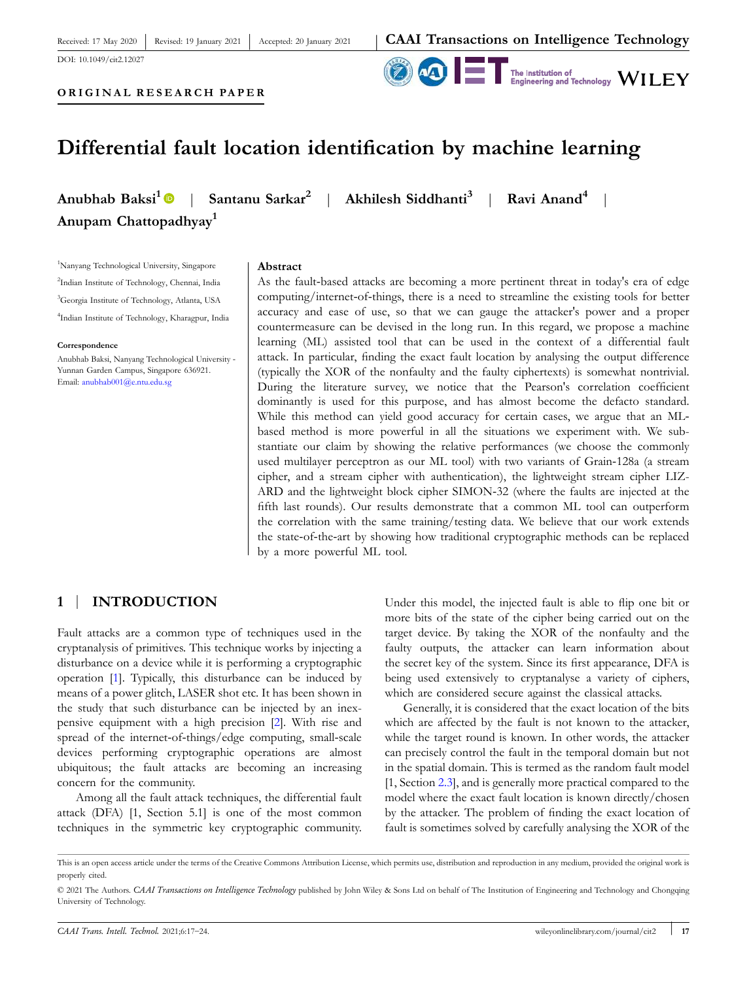# **ORIGINAL RESEARCH PAPER**

Revised: 19 January 2021

Received: 17 May 2020

DOI: 10.1049/cit2.12027

**40 F** Institution of Engineering and Technology WILEY

|

# **Differential fault location identification by machine learning**

Accepted: 20 January 2021

**Anubhab Baksi<sup>1</sup> Anupam Chattopadhyay<sup>1</sup>**

| **Santanu Sarkar<sup>2</sup>** | **Akhilesh Siddhanti<sup>3</sup>** | **Ravi Anand<sup>4</sup>**

Nanyang Technological University, Singapore Indian Institute of Technology, Chennai, India Georgia Institute of Technology, Atlanta, USA Indian Institute of Technology, Kharagpur, India

#### **Correspondence**

Anubhab Baksi, Nanyang Technological University ‐ Yunnan Garden Campus, Singapore 636921. Email: anubhab001@e.ntu.edu.sg

#### **Abstract**

As the fault-based attacks are becoming a more pertinent threat in today's era of edge computing/internet‐of‐things, there is a need to streamline the existing tools for better accuracy and ease of use, so that we can gauge the attacker's power and a proper countermeasure can be devised in the long run. In this regard, we propose a machine learning (ML) assisted tool that can be used in the context of a differential fault attack. In particular, finding the exact fault location by analysing the output difference (typically the XOR of the nonfaulty and the faulty ciphertexts) is somewhat nontrivial. During the literature survey, we notice that the Pearson's correlation coefficient dominantly is used for this purpose, and has almost become the defacto standard. While this method can yield good accuracy for certain cases, we argue that an MLbased method is more powerful in all the situations we experiment with. We substantiate our claim by showing the relative performances (we choose the commonly used multilayer perceptron as our ML tool) with two variants of Grain‐128a (a stream cipher, and a stream cipher with authentication), the lightweight stream cipher LIZ-ARD and the lightweight block cipher SIMON‐32 (where the faults are injected at the fifth last rounds). Our results demonstrate that a common ML tool can outperform the correlation with the same training/testing data. We believe that our work extends the state‐of‐the‐art by showing how traditional cryptographic methods can be replaced by a more powerful ML tool.

# **1** | **INTRODUCTION**

Fault attacks are a common type of techniques used in the cryptanalysis of primitives. This technique works by injecting a disturbance on a device while it is performing a cryptographic operation [1]. Typically, this disturbance can be induced by means of a power glitch, LASER shot etc. It has been shown in the study that such disturbance can be injected by an inexpensive equipment with a high precision [2]. With rise and spread of the internet-of-things/edge computing, small-scale devices performing cryptographic operations are almost ubiquitous; the fault attacks are becoming an increasing concern for the community.

Among all the fault attack techniques, the differential fault attack (DFA) [1, Section 5.1] is one of the most common techniques in the symmetric key cryptographic community.

Under this model, the injected fault is able to flip one bit or more bits of the state of the cipher being carried out on the target device. By taking the XOR of the nonfaulty and the faulty outputs, the attacker can learn information about the secret key of the system. Since its first appearance, DFA is being used extensively to cryptanalyse a variety of ciphers, which are considered secure against the classical attacks.

Generally, it is considered that the exact location of the bits which are affected by the fault is not known to the attacker, while the target round is known. In other words, the attacker can precisely control the fault in the temporal domain but not in the spatial domain. This is termed as the random fault model [1, Section 2.3], and is generally more practical compared to the model where the exact fault location is known directly/chosen by the attacker. The problem of finding the exact location of fault is sometimes solved by carefully analysing the XOR of the

This is an open access article under the terms of the Creative Commons Attribution License, which permits use, distribution and reproduction in any medium, provided the original work is properly cited.

<sup>© 2021</sup> The Authors. *CAAI Transactions on Intelligence Technology* published by John Wiley & Sons Ltd on behalf of The Institution of Engineering and Technology and Chongqing University of Technology.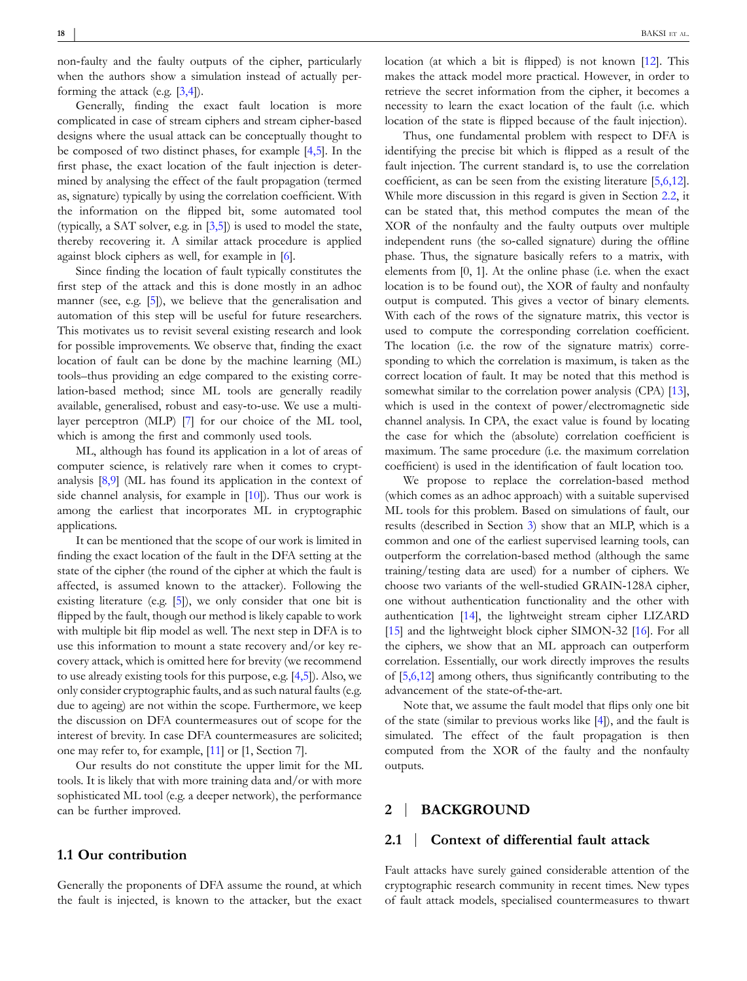non‐faulty and the faulty outputs of the cipher, particularly when the authors show a simulation instead of actually performing the attack (e.g. [3,4]).

Generally, finding the exact fault location is more complicated in case of stream ciphers and stream cipher-based designs where the usual attack can be conceptually thought to be composed of two distinct phases, for example [4,5]. In the first phase, the exact location of the fault injection is determined by analysing the effect of the fault propagation (termed as, signature) typically by using the correlation coefficient. With the information on the flipped bit, some automated tool (typically, a SAT solver, e.g. in  $[3,5]$ ) is used to model the state, thereby recovering it. A similar attack procedure is applied against block ciphers as well, for example in [6].

Since finding the location of fault typically constitutes the first step of the attack and this is done mostly in an adhoc manner (see, e.g. [5]), we believe that the generalisation and automation of this step will be useful for future researchers. This motivates us to revisit several existing research and look for possible improvements. We observe that, finding the exact location of fault can be done by the machine learning (ML) tools–thus providing an edge compared to the existing correlation‐based method; since ML tools are generally readily available, generalised, robust and easy‐to‐use. We use a multilayer perceptron (MLP) [7] for our choice of the ML tool, which is among the first and commonly used tools.

ML, although has found its application in a lot of areas of computer science, is relatively rare when it comes to cryptanalysis [8,9] (ML has found its application in the context of side channel analysis, for example in [10]). Thus our work is among the earliest that incorporates ML in cryptographic applications.

It can be mentioned that the scope of our work is limited in finding the exact location of the fault in the DFA setting at the state of the cipher (the round of the cipher at which the fault is affected, is assumed known to the attacker). Following the existing literature (e.g. [5]), we only consider that one bit is flipped by the fault, though our method is likely capable to work with multiple bit flip model as well. The next step in DFA is to use this information to mount a state recovery and/or key recovery attack, which is omitted here for brevity (we recommend to use already existing tools for this purpose, e.g. [4,5]). Also, we only consider cryptographic faults, and as such natural faults (e.g. due to ageing) are not within the scope. Furthermore, we keep the discussion on DFA countermeasures out of scope for the interest of brevity. In case DFA countermeasures are solicited; one may refer to, for example, [11] or [1, Section 7].

Our results do not constitute the upper limit for the ML tools. It is likely that with more training data and/or with more sophisticated ML tool (e.g. a deeper network), the performance can be further improved.

#### **1.1 Our contribution**

Generally the proponents of DFA assume the round, at which the fault is injected, is known to the attacker, but the exact location (at which a bit is flipped) is not known [12]. This makes the attack model more practical. However, in order to retrieve the secret information from the cipher, it becomes a necessity to learn the exact location of the fault (i.e. which location of the state is flipped because of the fault injection).

Thus, one fundamental problem with respect to DFA is identifying the precise bit which is flipped as a result of the fault injection. The current standard is, to use the correlation coefficient, as can be seen from the existing literature [5,6,12]. While more discussion in this regard is given in Section 2.2, it can be stated that, this method computes the mean of the XOR of the nonfaulty and the faulty outputs over multiple independent runs (the so-called signature) during the offline phase. Thus, the signature basically refers to a matrix, with elements from [0, 1]. At the online phase (i.e. when the exact location is to be found out), the XOR of faulty and nonfaulty output is computed. This gives a vector of binary elements. With each of the rows of the signature matrix, this vector is used to compute the corresponding correlation coefficient. The location (i.e. the row of the signature matrix) corresponding to which the correlation is maximum, is taken as the correct location of fault. It may be noted that this method is somewhat similar to the correlation power analysis (CPA) [13], which is used in the context of power/electromagnetic side channel analysis. In CPA, the exact value is found by locating the case for which the (absolute) correlation coefficient is maximum. The same procedure (i.e. the maximum correlation coefficient) is used in the identification of fault location too.

We propose to replace the correlation‐based method (which comes as an adhoc approach) with a suitable supervised ML tools for this problem. Based on simulations of fault, our results (described in Section 3) show that an MLP, which is a common and one of the earliest supervised learning tools, can outperform the correlation‐based method (although the same training/testing data are used) for a number of ciphers. We choose two variants of the well‐studied GRAIN‐128A cipher, one without authentication functionality and the other with authentication [14], the lightweight stream cipher LIZARD [15] and the lightweight block cipher SIMON-32 [16]. For all the ciphers, we show that an ML approach can outperform correlation. Essentially, our work directly improves the results of [5,6,12] among others, thus significantly contributing to the advancement of the state‐of‐the‐art.

Note that, we assume the fault model that flips only one bit of the state (similar to previous works like [4]), and the fault is simulated. The effect of the fault propagation is then computed from the XOR of the faulty and the nonfaulty outputs.

### **2** | **BACKGROUND**

#### **2.1** | **Context of differential fault attack**

Fault attacks have surely gained considerable attention of the cryptographic research community in recent times. New types of fault attack models, specialised countermeasures to thwart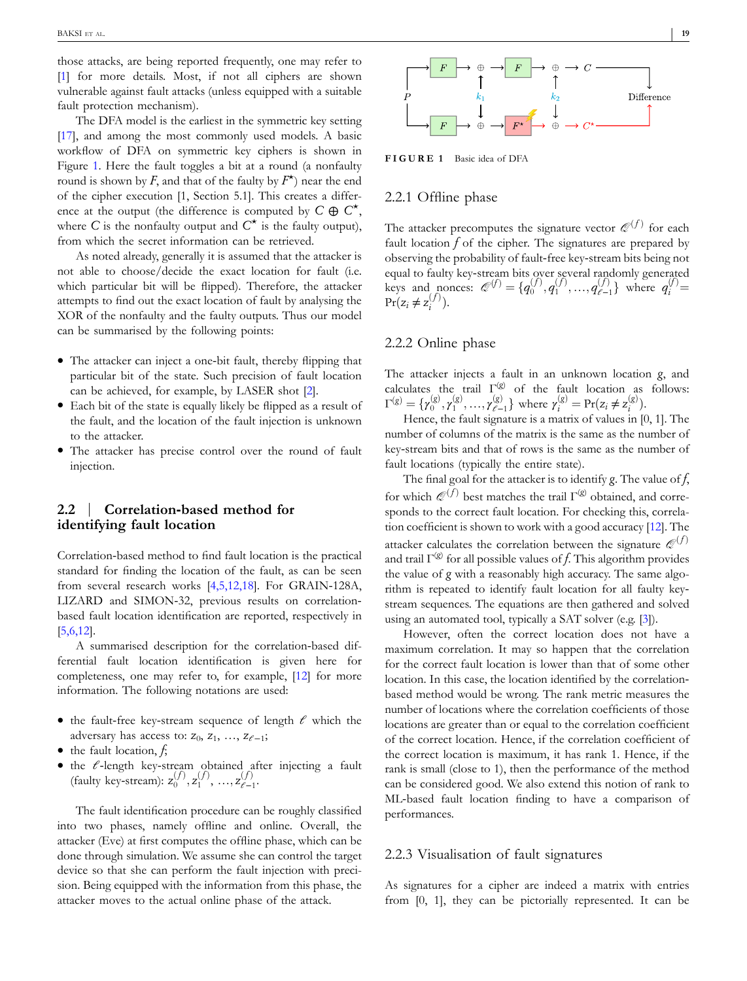those attacks, are being reported frequently, one may refer to [1] for more details. Most, if not all ciphers are shown vulnerable against fault attacks (unless equipped with a suitable fault protection mechanism).

The DFA model is the earliest in the symmetric key setting [17], and among the most commonly used models. A basic workflow of DFA on symmetric key ciphers is shown in Figure 1. Here the fault toggles a bit at a round (a nonfaulty round is shown by *F*, and that of the faulty by  $F^{\star}$ ) near the end of the cipher execution [1, Section 5.1]. This creates a difference at the output (the difference is computed by  $C \oplus C^*$ , where  $C$  is the nonfaulty output and  $C^*$  is the faulty output), from which the secret information can be retrieved.

As noted already, generally it is assumed that the attacker is not able to choose/decide the exact location for fault (i.e. which particular bit will be flipped). Therefore, the attacker attempts to find out the exact location of fault by analysing the XOR of the nonfaulty and the faulty outputs. Thus our model can be summarised by the following points:

- The attacker can inject a one-bit fault, thereby flipping that particular bit of the state. Such precision of fault location can be achieved, for example, by LASER shot [2].
- � Each bit of the state is equally likely be flipped as a result of the fault, and the location of the fault injection is unknown to the attacker.
- � The attacker has precise control over the round of fault injection.

# **2.2** | **Correlation‐based method for identifying fault location**

Correlation‐based method to find fault location is the practical standard for finding the location of the fault, as can be seen from several research works [4,5,12,18]. For GRAIN‐128A, LIZARD and SIMON‐32, previous results on correlation‐ based fault location identification are reported, respectively in [5,6,12].

A summarised description for the correlation‐based differential fault location identification is given here for completeness, one may refer to, for example, [12] for more information. The following notations are used:

- � the fault‐free key‐stream sequence of length *ℓ* which the adversary has access to: *z*<sub>0</sub>, *z*<sub>1</sub>, ..., *z*<sub>*ℓ*-1</sub>;
- � the fault location, *f*;
- � the *ℓ*‐length key‐stream obtained after injecting a fault (faulty key-stream):  $z_0^{(f)}$ ,  $z_1^{(f)}$ , ...,  $z_{\ell-1}^{(f)}$ *ℓ*−1 .

The fault identification procedure can be roughly classified into two phases, namely offline and online. Overall, the attacker (Eve) at first computes the offline phase, which can be done through simulation. We assume she can control the target device so that she can perform the fault injection with precision. Being equipped with the information from this phase, the attacker moves to the actual online phase of the attack.



**FIGURE 1** Basic idea of DFA

#### 2.2.1 Offline phase

The attacker precomputes the signature vector  $\mathcal{Q}^{(f)}$  for each fault location *f* of the cipher. The signatures are prepared by observing the probability of fault‐free key‐stream bits being not equal to faulty key‐stream bits over several randomly generated keys and nonces:  $\mathcal{Q}^{(f)} = \{q_0^{(f)}, q_1^{(f)}, ..., q_{\ell-1}^{(f)}\}$  $q_{i}^{(f)} = q_i^{(f)} =$  $Pr(z_i \neq z_i^{(f)})$ .

#### 2.2.2 Online phase

The attacker injects a fault in an unknown location *g*, and calculates the trail Γ(*g*) of the fault location as follows:  $\Gamma^{(g)} = {\gamma_0^{(g)}, \gamma_1^{(g)}, ..., \gamma_{\ell^-}^{(g)}}$  $\gamma_{i}^{(g)} = \Pr(z_i \neq z_i^{(g)})$ .

Hence, the fault signature is a matrix of values in [0, 1]. The number of columns of the matrix is the same as the number of key‐stream bits and that of rows is the same as the number of fault locations (typically the entire state).

The final goal for the attacker is to identify *g*. The value of *f*, for which  $\mathcal{Q}^{(f)}$  best matches the trail  $\Gamma^{(g)}$  obtained, and corresponds to the correct fault location. For checking this, correlation coefficient is shown to work with a good accuracy [12]. The attacker calculates the correlation between the signature  $\mathcal{Q}^{(f)}$ and trail  $\Gamma^{(g)}$  for all possible values of *f*. This algorithm provides the value of *g* with a reasonably high accuracy. The same algorithm is repeated to identify fault location for all faulty keystream sequences. The equations are then gathered and solved using an automated tool, typically a SAT solver (e.g. [3]).

However, often the correct location does not have a maximum correlation. It may so happen that the correlation for the correct fault location is lower than that of some other location. In this case, the location identified by the correlation‐ based method would be wrong. The rank metric measures the number of locations where the correlation coefficients of those locations are greater than or equal to the correlation coefficient of the correct location. Hence, if the correlation coefficient of the correct location is maximum, it has rank 1. Hence, if the rank is small (close to 1), then the performance of the method can be considered good. We also extend this notion of rank to ML-based fault location finding to have a comparison of performances.

## 2.2.3 Visualisation of fault signatures

As signatures for a cipher are indeed a matrix with entries from [0, 1], they can be pictorially represented. It can be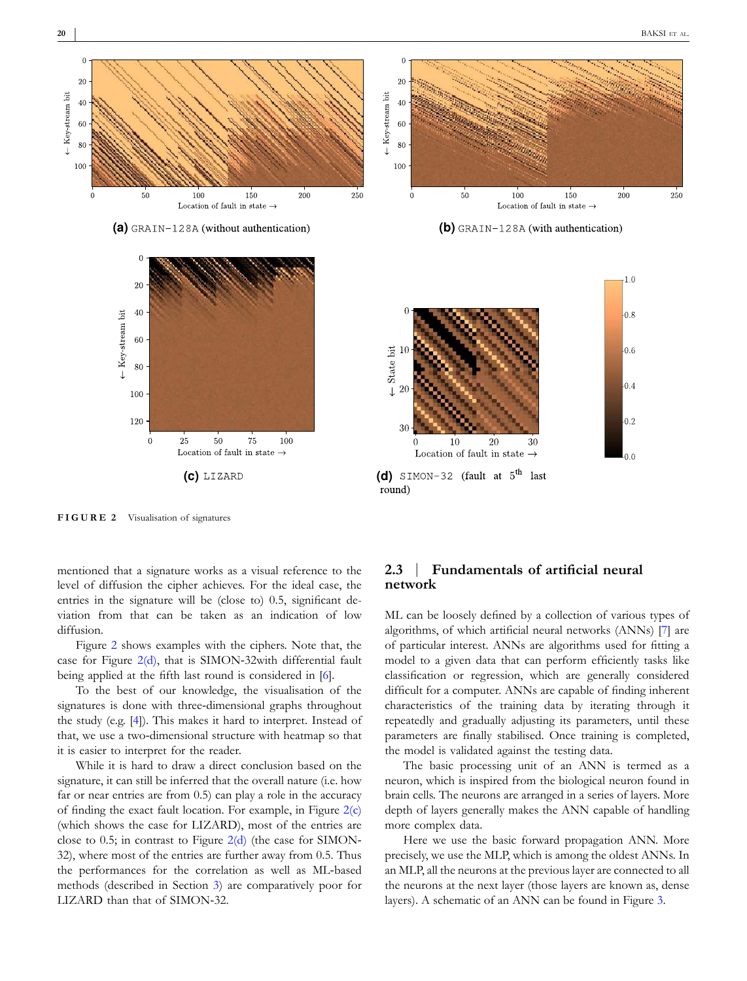$\cdot$ <sub>0.4</sub>

 $|0.2$ 

სი ი



 $(d)$  SIMON-32 (fault at  $5<sup>th</sup>$  last

20

30

round)

 $10$ 

Location of fault in state

20

 $\overline{3}$ f

**FIGURE 2** Visualisation of signatures

80

100

120

 $\overline{0}$ 

25

 $50$ 

Location of fault in state  $\rightarrow$ 

 $75$ 

100

mentioned that a signature works as a visual reference to the level of diffusion the cipher achieves. For the ideal case, the entries in the signature will be (close to) 0.5, significant deviation from that can be taken as an indication of low diffusion.

Figure 2 shows examples with the ciphers. Note that, the case for Figure 2(d), that is SIMON‐32with differential fault being applied at the fifth last round is considered in [6].

To the best of our knowledge, the visualisation of the signatures is done with three-dimensional graphs throughout the study (e.g. [4]). This makes it hard to interpret. Instead of that, we use a two-dimensional structure with heatmap so that it is easier to interpret for the reader.

While it is hard to draw a direct conclusion based on the signature, it can still be inferred that the overall nature (i.e. how far or near entries are from 0.5) can play a role in the accuracy of finding the exact fault location. For example, in Figure  $2(c)$ (which shows the case for LIZARD), most of the entries are close to 0.5; in contrast to Figure  $2(d)$  (the case for SIMON-32), where most of the entries are further away from 0.5. Thus the performances for the correlation as well as ML‐based methods (described in Section 3) are comparatively poor for LIZARD than that of SIMON‐32.

## **2.3** | **Fundamentals of artificial neural network**

ML can be loosely defined by a collection of various types of algorithms, of which artificial neural networks (ANNs) [7] are of particular interest. ANNs are algorithms used for fitting a model to a given data that can perform efficiently tasks like classification or regression, which are generally considered difficult for a computer. ANNs are capable of finding inherent characteristics of the training data by iterating through it repeatedly and gradually adjusting its parameters, until these parameters are finally stabilised. Once training is completed, the model is validated against the testing data.

The basic processing unit of an ANN is termed as a neuron, which is inspired from the biological neuron found in brain cells. The neurons are arranged in a series of layers. More depth of layers generally makes the ANN capable of handling more complex data.

Here we use the basic forward propagation ANN. More precisely, we use the MLP, which is among the oldest ANNs. In an MLP, all the neurons at the previous layer are connected to all the neurons at the next layer (those layers are known as, dense layers). A schematic of an ANN can be found in Figure 3.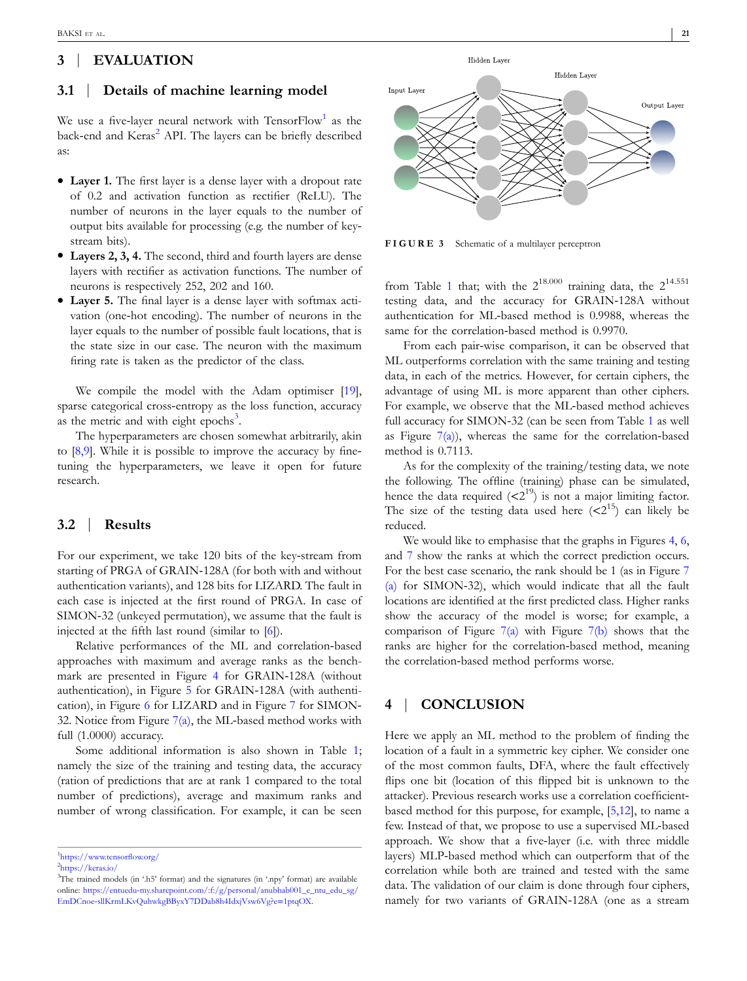# **3** | **EVALUATION**

## **3.1** | **Details of machine learning model**

We use a five-layer neural network with  $\mathrm{TensorFlow}^1$  as the back-end and Keras<sup>2</sup> API. The layers can be briefly described as:

- � **Layer 1.** The first layer is a dense layer with a dropout rate of 0.2 and activation function as rectifier (ReLU). The number of neurons in the layer equals to the number of output bits available for processing (e.g. the number of key‐ stream bits).
- � **Layers 2, 3, 4.** The second, third and fourth layers are dense layers with rectifier as activation functions. The number of neurons is respectively 252, 202 and 160.
- � **Layer 5.** The final layer is a dense layer with softmax activation (one‐hot encoding). The number of neurons in the layer equals to the number of possible fault locations, that is the state size in our case. The neuron with the maximum firing rate is taken as the predictor of the class.

We compile the model with the Adam optimiser [19], sparse categorical cross-entropy as the loss function, accuracy as the metric and with eight epochs<sup>3</sup>.

The hyperparameters are chosen somewhat arbitrarily, akin to  $[8,9]$ . While it is possible to improve the accuracy by finetuning the hyperparameters, we leave it open for future research.

#### **3.2** | **Results**

For our experiment, we take 120 bits of the key-stream from starting of PRGA of GRAIN‐128A (for both with and without authentication variants), and 128 bits for LIZARD. The fault in each case is injected at the first round of PRGA. In case of SIMON‐32 (unkeyed permutation), we assume that the fault is injected at the fifth last round (similar to [6]).

Relative performances of the ML and correlation‐based approaches with maximum and average ranks as the benchmark are presented in Figure 4 for GRAIN‐128A (without authentication), in Figure 5 for GRAIN‐128A (with authentication), in Figure 6 for LIZARD and in Figure 7 for SIMON‐ 32. Notice from Figure  $7(a)$ , the ML-based method works with full (1.0000) accuracy.

Some additional information is also shown in Table 1; namely the size of the training and testing data, the accuracy (ration of predictions that are at rank 1 compared to the total number of predictions), average and maximum ranks and number of wrong classification. For example, it can be seen



**FIGURE 3** Schematic of a multilayer perceptron

from Table 1 that; with the  $2^{18.000}$  training data, the  $2^{14.551}$ testing data, and the accuracy for GRAIN‐128A without authentication for ML‐based method is 0.9988, whereas the same for the correlation-based method is 0.9970.

From each pair-wise comparison, it can be observed that ML outperforms correlation with the same training and testing data, in each of the metrics. However, for certain ciphers, the advantage of using ML is more apparent than other ciphers. For example, we observe that the ML-based method achieves full accuracy for SIMON‐32 (can be seen from Table 1 as well as Figure  $7(a)$ , whereas the same for the correlation-based method is 0.7113.

As for the complexity of the training/testing data, we note the following. The offline (training) phase can be simulated, hence the data required  $( $2^{19}$ )$  is not a major limiting factor. The size of the testing data used here  $( $2^{15}$ )$  can likely be reduced.

We would like to emphasise that the graphs in Figures 4, 6, and 7 show the ranks at which the correct prediction occurs. For the best case scenario, the rank should be 1 (as in Figure 7 (a) for SIMON‐32), which would indicate that all the fault locations are identified at the first predicted class. Higher ranks show the accuracy of the model is worse; for example, a comparison of Figure  $7(a)$  with Figure  $7(b)$  shows that the ranks are higher for the correlation‐based method, meaning the correlation‐based method performs worse.

# **4** | **CONCLUSION**

Here we apply an ML method to the problem of finding the location of a fault in a symmetric key cipher. We consider one of the most common faults, DFA, where the fault effectively flips one bit (location of this flipped bit is unknown to the attacker). Previous research works use a correlation coefficient‐ based method for this purpose, for example, [5,12], to name a few. Instead of that, we propose to use a supervised ML‐based approach. We show that a five‐layer (i.e. with three middle layers) MLP‐based method which can outperform that of the correlation while both are trained and tested with the same data. The validation of our claim is done through four ciphers, namely for two variants of GRAIN‐128A (one as a stream

<sup>1</sup> https://www.tensorflow.org/

<sup>2</sup> https://keras.io/

<sup>&</sup>lt;sup>3</sup>The trained models (in '.h5' format) and the signatures (in '.npy' format) are available online: https://entuedu-my.sharepoint.com/:f:/g/personal/anubhab001\_e\_ntu\_edu\_sg/ EmDCnoe‐sllKrmLKvQuhwkgBByxY7DDab8h4IdxjVsw6Vg?e=1ptqOX.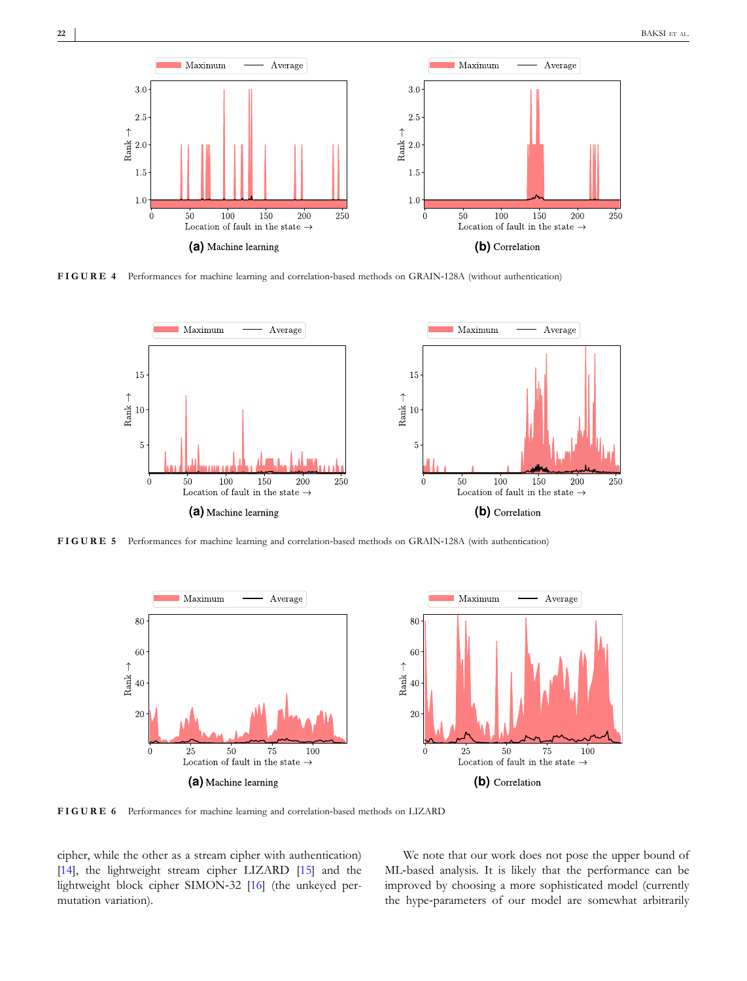

**FIGURE 4** Performances for machine learning and correlation‐based methods on GRAIN‐128A (without authentication)



FIGURE 5 Performances for machine learning and correlation-based methods on GRAIN-128A (with authentication)



**FIGURE 6** Performances for machine learning and correlation‐based methods on LIZARD

cipher, while the other as a stream cipher with authentication) [14], the lightweight stream cipher LIZARD [15] and the lightweight block cipher SIMON‐32 [16] (the unkeyed permutation variation).

We note that our work does not pose the upper bound of ML-based analysis. It is likely that the performance can be improved by choosing a more sophisticated model (currently the hype-parameters of our model are somewhat arbitrarily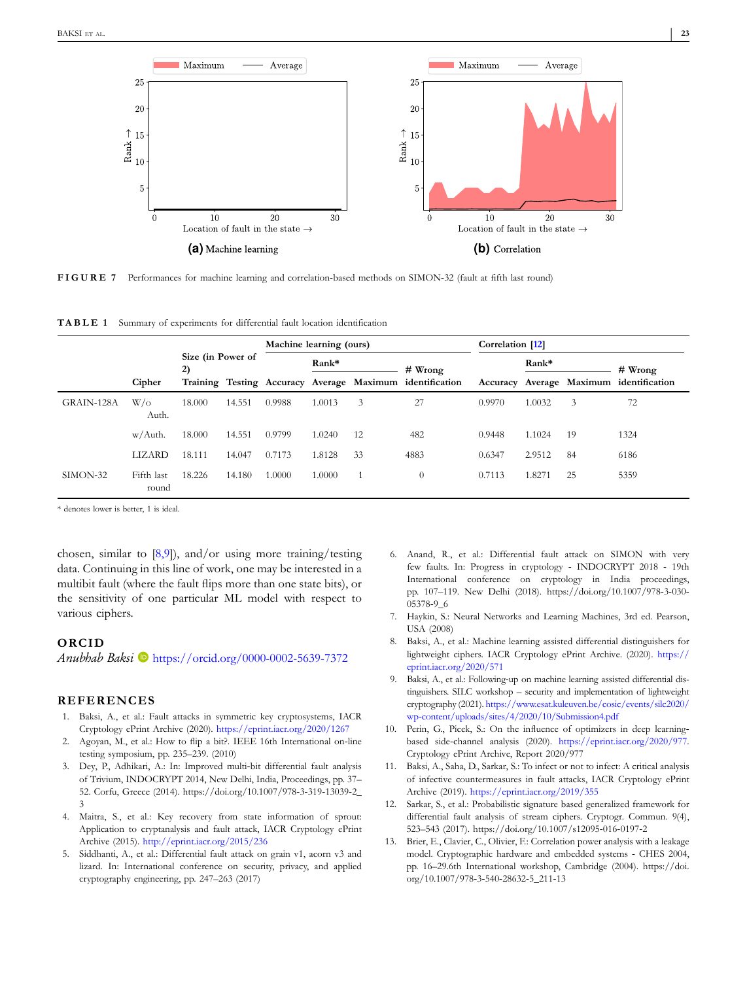

FIGURE 7 Performances for machine learning and correlation-based methods on SIMON-32 (fault at fifth last round)

| <b>TABLE 1</b> Summary of experiments for differential fault location identification |  |
|--------------------------------------------------------------------------------------|--|
|--------------------------------------------------------------------------------------|--|

|            |                     |                         |        | Machine learning (ours) |                                                          |    |           | Correlation [12] |                                         |    |           |
|------------|---------------------|-------------------------|--------|-------------------------|----------------------------------------------------------|----|-----------|------------------|-----------------------------------------|----|-----------|
|            |                     | Size (in Power of<br>2) |        |                         |                                                          |    | $#$ Wrong |                  | Rank*                                   |    | $#$ Wrong |
|            | Cipher              |                         |        |                         | Training Testing Accuracy Average Maximum identification |    |           |                  | Accuracy Average Maximum identification |    |           |
| GRAIN-128A | $W/\alpha$<br>Auth. | 18.000                  | 14.551 | 0.9988                  | 1.0013                                                   | 3  | 27        | 0.9970           | 1.0032                                  | 3  | 72        |
|            | w/Auth.             | 18.000                  | 14.551 | 0.9799                  | 1.0240                                                   | 12 | 482       | 0.9448           | 1.1024                                  | 19 | 1324      |
|            | LIZARD              | 18.111                  | 14.047 | 0.7173                  | 1.8128                                                   | 33 | 4883      | 0.6347           | 2.9512                                  | 84 | 6186      |
| SIMON-32   | Fifth last<br>round | 18.226                  | 14.180 | 1.0000                  | 1.0000                                                   |    | $\theta$  | 0.7113           | 1.827                                   | 25 | 5359      |

\* denotes lower is better, 1 is ideal.

chosen, similar to [8,9]), and/or using more training/testing data. Continuing in this line of work, one may be interested in a multibit fault (where the fault flips more than one state bits), or the sensitivity of one particular ML model with respect to various ciphers.

#### **ORCID**

*Anubhab Baksi* **b** https://orcid.org/0000-0002-5639-7372

## **REFERENCES**

- 1. Baksi, A., et al.: Fault attacks in symmetric key cryptosystems, IACR Cryptology ePrint Archive (2020). https://eprint.iacr.org/2020/1267
- 2. Agoyan, M., et al.: How to flip a bit?. IEEE 16th International on‐line testing symposium, pp. 235–239. (2010)
- 3. Dey, P., Adhikari, A.: In: Improved multi‐bit differential fault analysis of Trivium, INDOCRYPT 2014, New Delhi, India, Proceedings, pp. 37– 52. Corfu, Greece (2014). https://doi.org/10.1007/978‐3‐319‐13039‐2\_ 3
- 4. Maitra, S., et al.: Key recovery from state information of sprout: Application to cryptanalysis and fault attack, IACR Cryptology ePrint Archive (2015). http://eprint.iacr.org/2015/236
- 5. Siddhanti, A., et al.: Differential fault attack on grain v1, acorn v3 and lizard. In: International conference on security, privacy, and applied cryptography engineering, pp. 247–263 (2017)
- 6. Anand, R., et al.: Differential fault attack on SIMON with very few faults. In: Progress in cryptology ‐ INDOCRYPT 2018 ‐ 19th International conference on cryptology in India proceedings, pp. 107–119. New Delhi (2018). https://doi.org/10.1007/978‐3‐030‐ 05378‐9\_6
- 7. Haykin, S.: Neural Networks and Learning Machines, 3rd ed. Pearson, USA (2008)
- 8. Baksi, A., et al.: Machine learning assisted differential distinguishers for lightweight ciphers. IACR Cryptology ePrint Archive. (2020). https:// eprint.iacr.org/2020/571
- 9. Baksi, A., et al.: Following‐up on machine learning assisted differential distinguishers. SILC workshop – security and implementation of lightweight cryptography (2021). https://www.esat.kuleuven.be/cosic/events/silc2020/ wp‐content/uploads/sites/4/2020/10/Submission4.pdf
- 10. Perin, G., Picek, S.: On the influence of optimizers in deep learningbased side‐channel analysis (2020). https://eprint.iacr.org/2020/977. Cryptology ePrint Archive, Report 2020/977
- 11. Baksi, A., Saha, D., Sarkar, S.: To infect or not to infect: A critical analysis of infective countermeasures in fault attacks, IACR Cryptology ePrint Archive (2019). https://eprint.iacr.org/2019/355
- 12. Sarkar, S., et al.: Probabilistic signature based generalized framework for differential fault analysis of stream ciphers. Cryptogr. Commun. 9(4), 523–543 (2017). https://doi.org/10.1007/s12095‐016‐0197‐2
- 13. Brier, E., Clavier, C., Olivier, F.: Correlation power analysis with a leakage model. Cryptographic hardware and embedded systems ‐ CHES 2004, pp. 16–29.6th International workshop, Cambridge (2004). https://doi. org/10.1007/978‐3‐540‐28632‐5\_211‐13